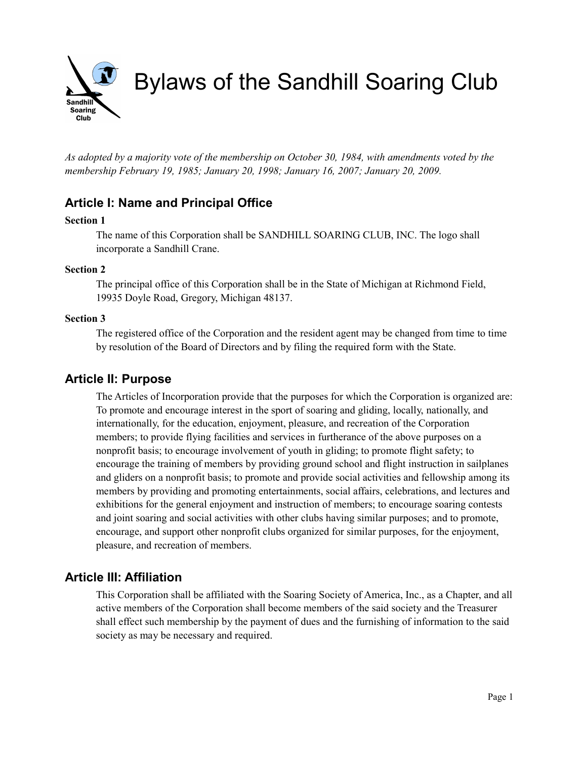

*As adopted by a majority vote of the membership on October 30, 1984, with amendments voted by the membership February 19, 1985; January 20, 1998; January 16, 2007; January 20, 2009.*

# **Article I: Name and Principal Office**

## **Section 1**

The name of this Corporation shall be SANDHILL SOARING CLUB, INC. The logo shall incorporate a Sandhill Crane.

## **Section 2**

The principal office of this Corporation shall be in the State of Michigan at Richmond Field, 19935 Doyle Road, Gregory, Michigan 48137.

### **Section 3**

The registered office of the Corporation and the resident agent may be changed from time to time by resolution of the Board of Directors and by filing the required form with the State.

## **Article II: Purpose**

The Articles of Incorporation provide that the purposes for which the Corporation is organized are: To promote and encourage interest in the sport of soaring and gliding, locally, nationally, and internationally, for the education, enjoyment, pleasure, and recreation of the Corporation members; to provide flying facilities and services in furtherance of the above purposes on a nonprofit basis; to encourage involvement of youth in gliding; to promote flight safety; to encourage the training of members by providing ground school and flight instruction in sailplanes and gliders on a nonprofit basis; to promote and provide social activities and fellowship among its members by providing and promoting entertainments, social affairs, celebrations, and lectures and exhibitions for the general enjoyment and instruction of members; to encourage soaring contests and joint soaring and social activities with other clubs having similar purposes; and to promote, encourage, and support other nonprofit clubs organized for similar purposes, for the enjoyment, pleasure, and recreation of members.

## **Article III: Affiliation**

This Corporation shall be affiliated with the Soaring Society of America, Inc., as a Chapter, and all active members of the Corporation shall become members of the said society and the Treasurer shall effect such membership by the payment of dues and the furnishing of information to the said society as may be necessary and required.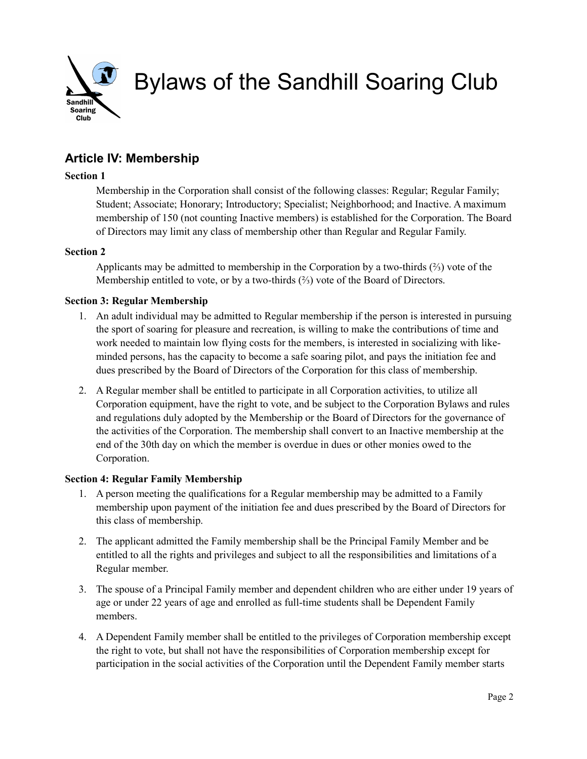

# **Article IV: Membership**

## **Section 1**

Membership in the Corporation shall consist of the following classes: Regular; Regular Family; Student; Associate; Honorary; Introductory; Specialist; Neighborhood; and Inactive. A maximum membership of 150 (not counting Inactive members) is established for the Corporation. The Board of Directors may limit any class of membership other than Regular and Regular Family.

## **Section 2**

Applicants may be admitted to membership in the Corporation by a two-thirds (⅔) vote of the Membership entitled to vote, or by a two-thirds (⅔) vote of the Board of Directors.

## **Section 3: Regular Membership**

- 1. An adult individual may be admitted to Regular membership if the person is interested in pursuing the sport of soaring for pleasure and recreation, is willing to make the contributions of time and work needed to maintain low flying costs for the members, is interested in socializing with likeminded persons, has the capacity to become a safe soaring pilot, and pays the initiation fee and dues prescribed by the Board of Directors of the Corporation for this class of membership.
- 2. A Regular member shall be entitled to participate in all Corporation activities, to utilize all Corporation equipment, have the right to vote, and be subject to the Corporation Bylaws and rules and regulations duly adopted by the Membership or the Board of Directors for the governance of the activities of the Corporation. The membership shall convert to an Inactive membership at the end of the 30th day on which the member is overdue in dues or other monies owed to the Corporation.

## **Section 4: Regular Family Membership**

- 1. A person meeting the qualifications for a Regular membership may be admitted to a Family membership upon payment of the initiation fee and dues prescribed by the Board of Directors for this class of membership.
- 2. The applicant admitted the Family membership shall be the Principal Family Member and be entitled to all the rights and privileges and subject to all the responsibilities and limitations of a Regular member.
- 3. The spouse of a Principal Family member and dependent children who are either under 19 years of age or under 22 years of age and enrolled as full-time students shall be Dependent Family members.
- 4. A Dependent Family member shall be entitled to the privileges of Corporation membership except the right to vote, but shall not have the responsibilities of Corporation membership except for participation in the social activities of the Corporation until the Dependent Family member starts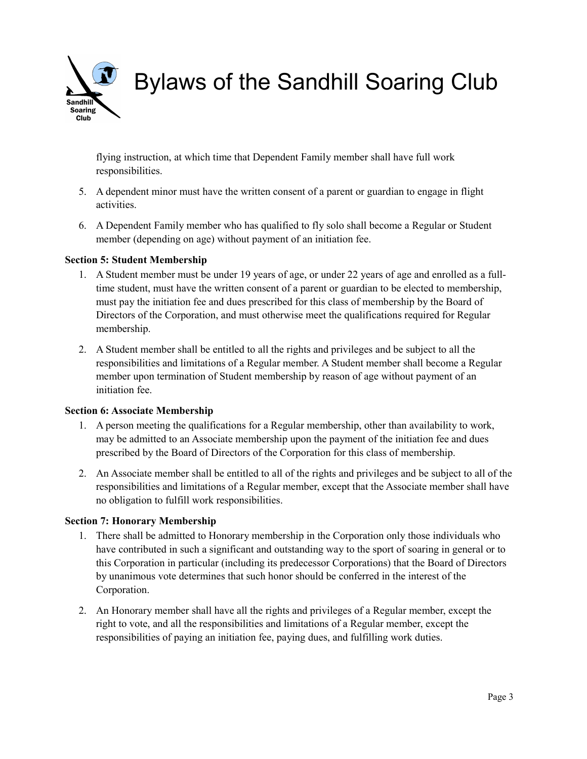Sandhill **Soaring** Club

Bylaws of the Sandhill Soaring Club

flying instruction, at which time that Dependent Family member shall have full work responsibilities.

- 5. A dependent minor must have the written consent of a parent or guardian to engage in flight activities.
- 6. A Dependent Family member who has qualified to fly solo shall become a Regular or Student member (depending on age) without payment of an initiation fee.

### **Section 5: Student Membership**

- 1. A Student member must be under 19 years of age, or under 22 years of age and enrolled as a fulltime student, must have the written consent of a parent or guardian to be elected to membership, must pay the initiation fee and dues prescribed for this class of membership by the Board of Directors of the Corporation, and must otherwise meet the qualifications required for Regular membership.
- 2. A Student member shall be entitled to all the rights and privileges and be subject to all the responsibilities and limitations of a Regular member. A Student member shall become a Regular member upon termination of Student membership by reason of age without payment of an initiation fee.

### **Section 6: Associate Membership**

- 1. A person meeting the qualifications for a Regular membership, other than availability to work, may be admitted to an Associate membership upon the payment of the initiation fee and dues prescribed by the Board of Directors of the Corporation for this class of membership.
- 2. An Associate member shall be entitled to all of the rights and privileges and be subject to all of the responsibilities and limitations of a Regular member, except that the Associate member shall have no obligation to fulfill work responsibilities.

### **Section 7: Honorary Membership**

- 1. There shall be admitted to Honorary membership in the Corporation only those individuals who have contributed in such a significant and outstanding way to the sport of soaring in general or to this Corporation in particular (including its predecessor Corporations) that the Board of Directors by unanimous vote determines that such honor should be conferred in the interest of the Corporation.
- 2. An Honorary member shall have all the rights and privileges of a Regular member, except the right to vote, and all the responsibilities and limitations of a Regular member, except the responsibilities of paying an initiation fee, paying dues, and fulfilling work duties.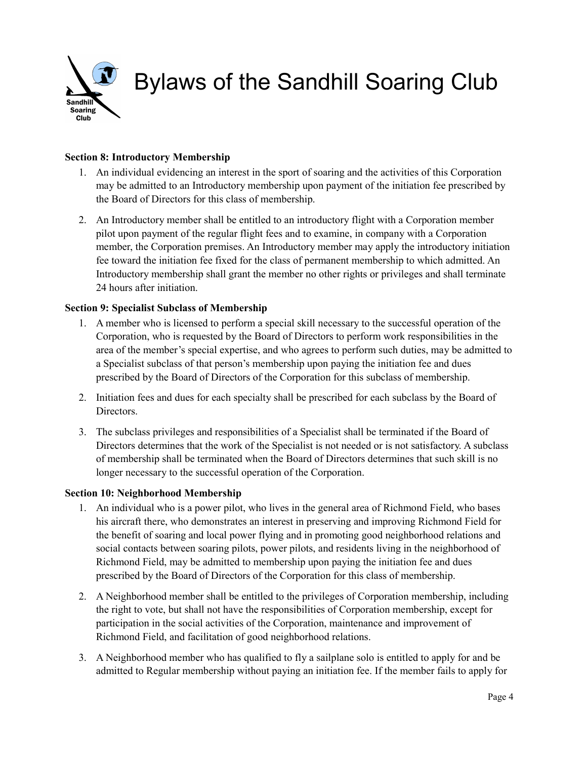

## **Section 8: Introductory Membership**

- 1. An individual evidencing an interest in the sport of soaring and the activities of this Corporation may be admitted to an Introductory membership upon payment of the initiation fee prescribed by the Board of Directors for this class of membership.
- 2. An Introductory member shall be entitled to an introductory flight with a Corporation member pilot upon payment of the regular flight fees and to examine, in company with a Corporation member, the Corporation premises. An Introductory member may apply the introductory initiation fee toward the initiation fee fixed for the class of permanent membership to which admitted. An Introductory membership shall grant the member no other rights or privileges and shall terminate 24 hours after initiation.

### **Section 9: Specialist Subclass of Membership**

- 1. A member who is licensed to perform a special skill necessary to the successful operation of the Corporation, who is requested by the Board of Directors to perform work responsibilities in the area of the member's special expertise, and who agrees to perform such duties, may be admitted to a Specialist subclass of that person's membership upon paying the initiation fee and dues prescribed by the Board of Directors of the Corporation for this subclass of membership.
- 2. Initiation fees and dues for each specialty shall be prescribed for each subclass by the Board of Directors.
- 3. The subclass privileges and responsibilities of a Specialist shall be terminated if the Board of Directors determines that the work of the Specialist is not needed or is not satisfactory. A subclass of membership shall be terminated when the Board of Directors determines that such skill is no longer necessary to the successful operation of the Corporation.

### **Section 10: Neighborhood Membership**

- 1. An individual who is a power pilot, who lives in the general area of Richmond Field, who bases his aircraft there, who demonstrates an interest in preserving and improving Richmond Field for the benefit of soaring and local power flying and in promoting good neighborhood relations and social contacts between soaring pilots, power pilots, and residents living in the neighborhood of Richmond Field, may be admitted to membership upon paying the initiation fee and dues prescribed by the Board of Directors of the Corporation for this class of membership.
- 2. A Neighborhood member shall be entitled to the privileges of Corporation membership, including the right to vote, but shall not have the responsibilities of Corporation membership, except for participation in the social activities of the Corporation, maintenance and improvement of Richmond Field, and facilitation of good neighborhood relations.
- 3. A Neighborhood member who has qualified to fly a sailplane solo is entitled to apply for and be admitted to Regular membership without paying an initiation fee. If the member fails to apply for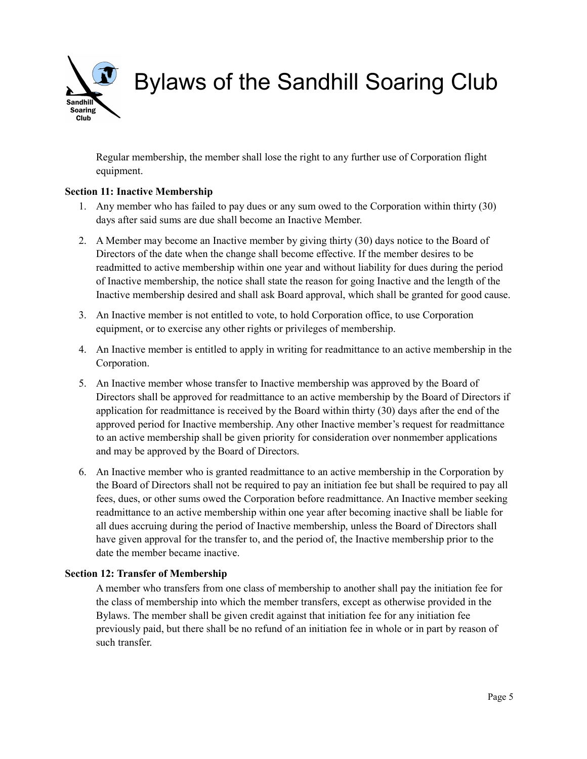

Regular membership, the member shall lose the right to any further use of Corporation flight equipment.

### **Section 11: Inactive Membership**

- 1. Any member who has failed to pay dues or any sum owed to the Corporation within thirty (30) days after said sums are due shall become an Inactive Member.
- 2. A Member may become an Inactive member by giving thirty (30) days notice to the Board of Directors of the date when the change shall become effective. If the member desires to be readmitted to active membership within one year and without liability for dues during the period of Inactive membership, the notice shall state the reason for going Inactive and the length of the Inactive membership desired and shall ask Board approval, which shall be granted for good cause.
- 3. An Inactive member is not entitled to vote, to hold Corporation office, to use Corporation equipment, or to exercise any other rights or privileges of membership.
- 4. An Inactive member is entitled to apply in writing for readmittance to an active membership in the Corporation.
- 5. An Inactive member whose transfer to Inactive membership was approved by the Board of Directors shall be approved for readmittance to an active membership by the Board of Directors if application for readmittance is received by the Board within thirty (30) days after the end of the approved period for Inactive membership. Any other Inactive member's request for readmittance to an active membership shall be given priority for consideration over nonmember applications and may be approved by the Board of Directors.
- 6. An Inactive member who is granted readmittance to an active membership in the Corporation by the Board of Directors shall not be required to pay an initiation fee but shall be required to pay all fees, dues, or other sums owed the Corporation before readmittance. An Inactive member seeking readmittance to an active membership within one year after becoming inactive shall be liable for all dues accruing during the period of Inactive membership, unless the Board of Directors shall have given approval for the transfer to, and the period of, the Inactive membership prior to the date the member became inactive.

#### **Section 12: Transfer of Membership**

A member who transfers from one class of membership to another shall pay the initiation fee for the class of membership into which the member transfers, except as otherwise provided in the Bylaws. The member shall be given credit against that initiation fee for any initiation fee previously paid, but there shall be no refund of an initiation fee in whole or in part by reason of such transfer.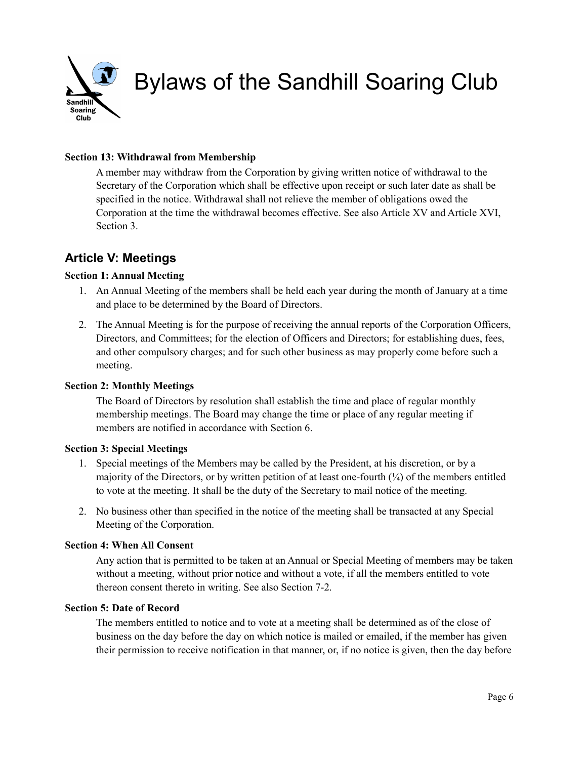

## **Section 13: Withdrawal from Membership**

A member may withdraw from the Corporation by giving written notice of withdrawal to the Secretary of the Corporation which shall be effective upon receipt or such later date as shall be specified in the notice. Withdrawal shall not relieve the member of obligations owed the Corporation at the time the withdrawal becomes effective. See also Article XV and Article XVI, Section 3.

## **Article V: Meetings**

### **Section 1: Annual Meeting**

- 1. An Annual Meeting of the members shall be held each year during the month of January at a time and place to be determined by the Board of Directors.
- 2. The Annual Meeting is for the purpose of receiving the annual reports of the Corporation Officers, Directors, and Committees; for the election of Officers and Directors; for establishing dues, fees, and other compulsory charges; and for such other business as may properly come before such a meeting.

### **Section 2: Monthly Meetings**

The Board of Directors by resolution shall establish the time and place of regular monthly membership meetings. The Board may change the time or place of any regular meeting if members are notified in accordance with Section 6.

### **Section 3: Special Meetings**

- 1. Special meetings of the Members may be called by the President, at his discretion, or by a majority of the Directors, or by written petition of at least one-fourth  $(\frac{1}{4})$  of the members entitled to vote at the meeting. It shall be the duty of the Secretary to mail notice of the meeting.
- 2. No business other than specified in the notice of the meeting shall be transacted at any Special Meeting of the Corporation.

### **Section 4: When All Consent**

Any action that is permitted to be taken at an Annual or Special Meeting of members may be taken without a meeting, without prior notice and without a vote, if all the members entitled to vote thereon consent thereto in writing. See also Section 7-2.

### **Section 5: Date of Record**

The members entitled to notice and to vote at a meeting shall be determined as of the close of business on the day before the day on which notice is mailed or emailed, if the member has given their permission to receive notification in that manner, or, if no notice is given, then the day before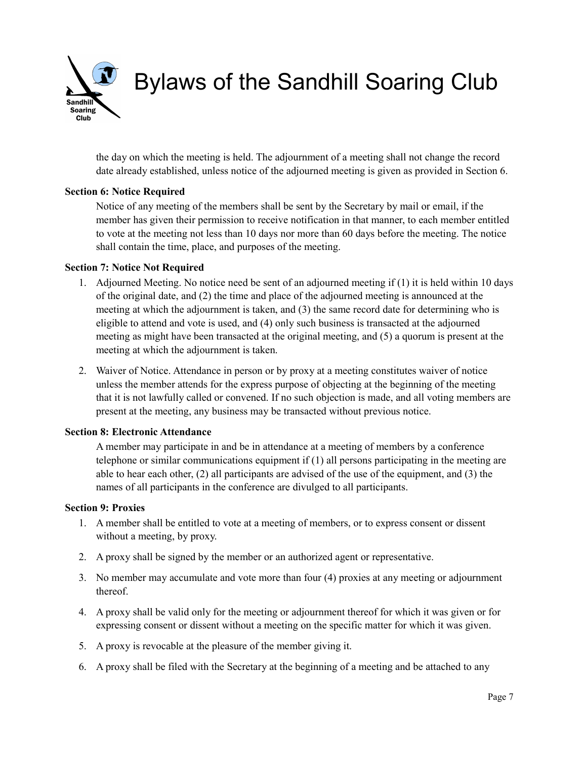Sandhill **Soaring** Club<sup>1</sup>

Bylaws of the Sandhill Soaring Club

the day on which the meeting is held. The adjournment of a meeting shall not change the record date already established, unless notice of the adjourned meeting is given as provided in Section 6.

## **Section 6: Notice Required**

Notice of any meeting of the members shall be sent by the Secretary by mail or email, if the member has given their permission to receive notification in that manner, to each member entitled to vote at the meeting not less than 10 days nor more than 60 days before the meeting. The notice shall contain the time, place, and purposes of the meeting.

## **Section 7: Notice Not Required**

- 1. Adjourned Meeting. No notice need be sent of an adjourned meeting if (1) it is held within 10 days of the original date, and (2) the time and place of the adjourned meeting is announced at the meeting at which the adjournment is taken, and (3) the same record date for determining who is eligible to attend and vote is used, and (4) only such business is transacted at the adjourned meeting as might have been transacted at the original meeting, and (5) a quorum is present at the meeting at which the adjournment is taken.
- 2. Waiver of Notice. Attendance in person or by proxy at a meeting constitutes waiver of notice unless the member attends for the express purpose of objecting at the beginning of the meeting that it is not lawfully called or convened. If no such objection is made, and all voting members are present at the meeting, any business may be transacted without previous notice.

## **Section 8: Electronic Attendance**

A member may participate in and be in attendance at a meeting of members by a conference telephone or similar communications equipment if (1) all persons participating in the meeting are able to hear each other, (2) all participants are advised of the use of the equipment, and (3) the names of all participants in the conference are divulged to all participants.

### **Section 9: Proxies**

- 1. A member shall be entitled to vote at a meeting of members, or to express consent or dissent without a meeting, by proxy.
- 2. A proxy shall be signed by the member or an authorized agent or representative.
- 3. No member may accumulate and vote more than four (4) proxies at any meeting or adjournment thereof.
- 4. A proxy shall be valid only for the meeting or adjournment thereof for which it was given or for expressing consent or dissent without a meeting on the specific matter for which it was given.
- 5. A proxy is revocable at the pleasure of the member giving it.
- 6. A proxy shall be filed with the Secretary at the beginning of a meeting and be attached to any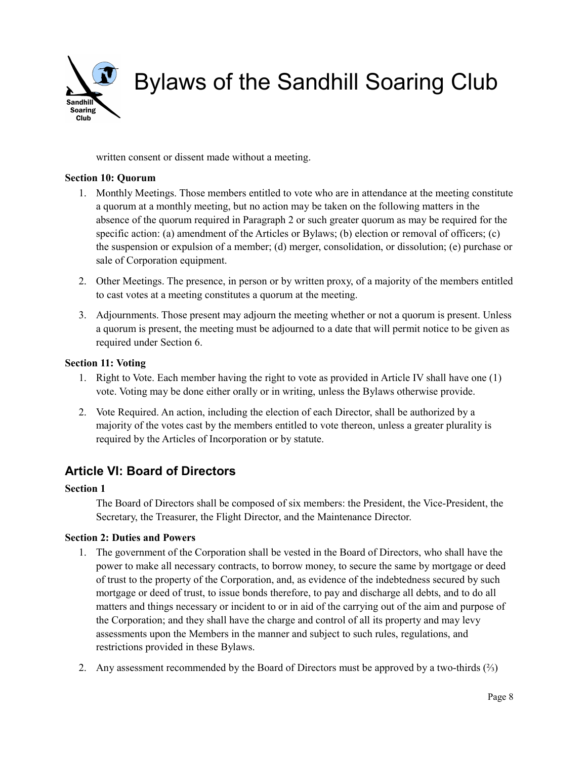

written consent or dissent made without a meeting.

## **Section 10: Quorum**

- 1. Monthly Meetings. Those members entitled to vote who are in attendance at the meeting constitute a quorum at a monthly meeting, but no action may be taken on the following matters in the absence of the quorum required in Paragraph 2 or such greater quorum as may be required for the specific action: (a) amendment of the Articles or Bylaws; (b) election or removal of officers; (c) the suspension or expulsion of a member; (d) merger, consolidation, or dissolution; (e) purchase or sale of Corporation equipment.
- 2. Other Meetings. The presence, in person or by written proxy, of a majority of the members entitled to cast votes at a meeting constitutes a quorum at the meeting.
- 3. Adjournments. Those present may adjourn the meeting whether or not a quorum is present. Unless a quorum is present, the meeting must be adjourned to a date that will permit notice to be given as required under Section 6.

## **Section 11: Voting**

- 1. Right to Vote. Each member having the right to vote as provided in Article IV shall have one (1) vote. Voting may be done either orally or in writing, unless the Bylaws otherwise provide.
- 2. Vote Required. An action, including the election of each Director, shall be authorized by a majority of the votes cast by the members entitled to vote thereon, unless a greater plurality is required by the Articles of Incorporation or by statute.

# **Article VI: Board of Directors**

## **Section 1**

The Board of Directors shall be composed of six members: the President, the Vice-President, the Secretary, the Treasurer, the Flight Director, and the Maintenance Director.

## **Section 2: Duties and Powers**

- 1. The government of the Corporation shall be vested in the Board of Directors, who shall have the power to make all necessary contracts, to borrow money, to secure the same by mortgage or deed of trust to the property of the Corporation, and, as evidence of the indebtedness secured by such mortgage or deed of trust, to issue bonds therefore, to pay and discharge all debts, and to do all matters and things necessary or incident to or in aid of the carrying out of the aim and purpose of the Corporation; and they shall have the charge and control of all its property and may levy assessments upon the Members in the manner and subject to such rules, regulations, and restrictions provided in these Bylaws.
- 2. Any assessment recommended by the Board of Directors must be approved by a two-thirds  $\binom{2}{3}$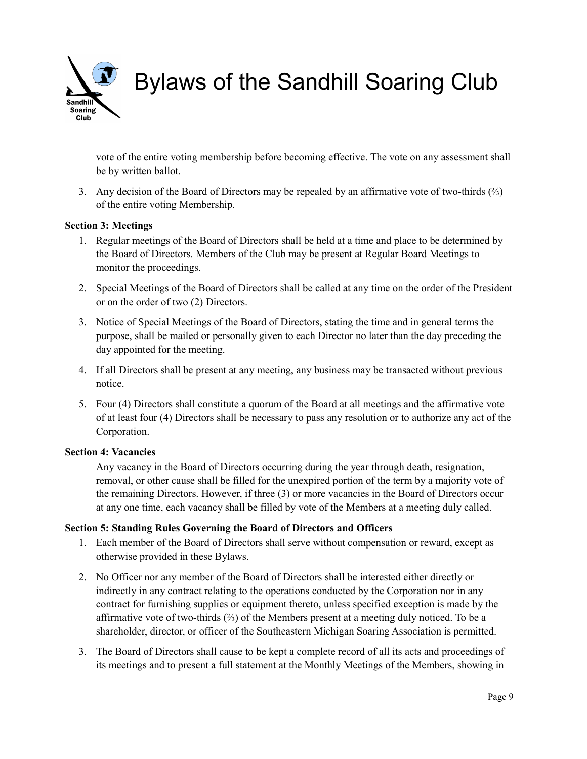Sandhill **Soaring** Club

Bylaws of the Sandhill Soaring Club

vote of the entire voting membership before becoming effective. The vote on any assessment shall be by written ballot.

3. Any decision of the Board of Directors may be repealed by an affirmative vote of two-thirds  $\binom{2}{3}$ of the entire voting Membership.

### **Section 3: Meetings**

- 1. Regular meetings of the Board of Directors shall be held at a time and place to be determined by the Board of Directors. Members of the Club may be present at Regular Board Meetings to monitor the proceedings.
- 2. Special Meetings of the Board of Directors shall be called at any time on the order of the President or on the order of two (2) Directors.
- 3. Notice of Special Meetings of the Board of Directors, stating the time and in general terms the purpose, shall be mailed or personally given to each Director no later than the day preceding the day appointed for the meeting.
- 4. If all Directors shall be present at any meeting, any business may be transacted without previous notice.
- 5. Four (4) Directors shall constitute a quorum of the Board at all meetings and the affirmative vote of at least four (4) Directors shall be necessary to pass any resolution or to authorize any act of the Corporation.

### **Section 4: Vacancies**

Any vacancy in the Board of Directors occurring during the year through death, resignation, removal, or other cause shall be filled for the unexpired portion of the term by a majority vote of the remaining Directors. However, if three (3) or more vacancies in the Board of Directors occur at any one time, each vacancy shall be filled by vote of the Members at a meeting duly called.

### **Section 5: Standing Rules Governing the Board of Directors and Officers**

- 1. Each member of the Board of Directors shall serve without compensation or reward, except as otherwise provided in these Bylaws.
- 2. No Officer nor any member of the Board of Directors shall be interested either directly or indirectly in any contract relating to the operations conducted by the Corporation nor in any contract for furnishing supplies or equipment thereto, unless specified exception is made by the affirmative vote of two-thirds (⅔) of the Members present at a meeting duly noticed. To be a shareholder, director, or officer of the Southeastern Michigan Soaring Association is permitted.
- 3. The Board of Directors shall cause to be kept a complete record of all its acts and proceedings of its meetings and to present a full statement at the Monthly Meetings of the Members, showing in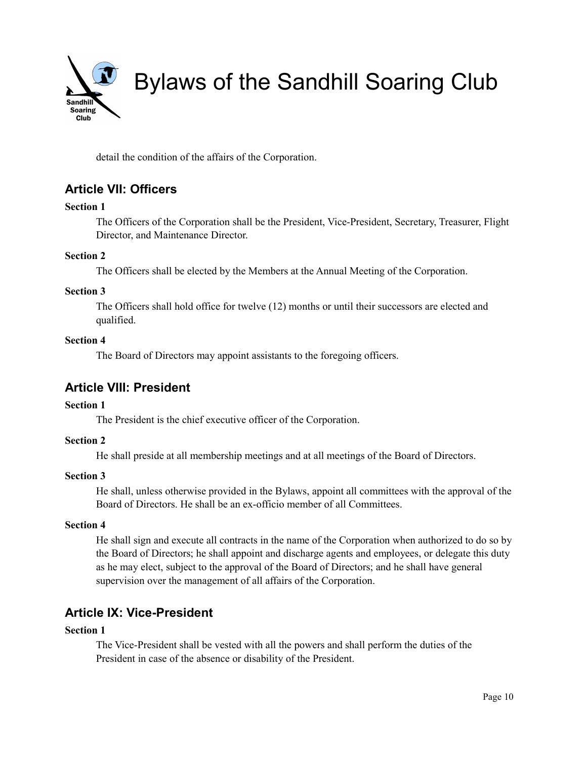

detail the condition of the affairs of the Corporation.

# **Article VII: Officers**

## **Section 1**

The Officers of the Corporation shall be the President, Vice-President, Secretary, Treasurer, Flight Director, and Maintenance Director.

## **Section 2**

The Officers shall be elected by the Members at the Annual Meeting of the Corporation.

## **Section 3**

The Officers shall hold office for twelve (12) months or until their successors are elected and qualified.

## **Section 4**

The Board of Directors may appoint assistants to the foregoing officers.

# **Article VIII: President**

## **Section 1**

The President is the chief executive officer of the Corporation.

## **Section 2**

He shall preside at all membership meetings and at all meetings of the Board of Directors.

## **Section 3**

He shall, unless otherwise provided in the Bylaws, appoint all committees with the approval of the Board of Directors. He shall be an ex-officio member of all Committees.

## **Section 4**

He shall sign and execute all contracts in the name of the Corporation when authorized to do so by the Board of Directors; he shall appoint and discharge agents and employees, or delegate this duty as he may elect, subject to the approval of the Board of Directors; and he shall have general supervision over the management of all affairs of the Corporation.

# **Article IX: Vice-President**

## **Section 1**

The Vice-President shall be vested with all the powers and shall perform the duties of the President in case of the absence or disability of the President.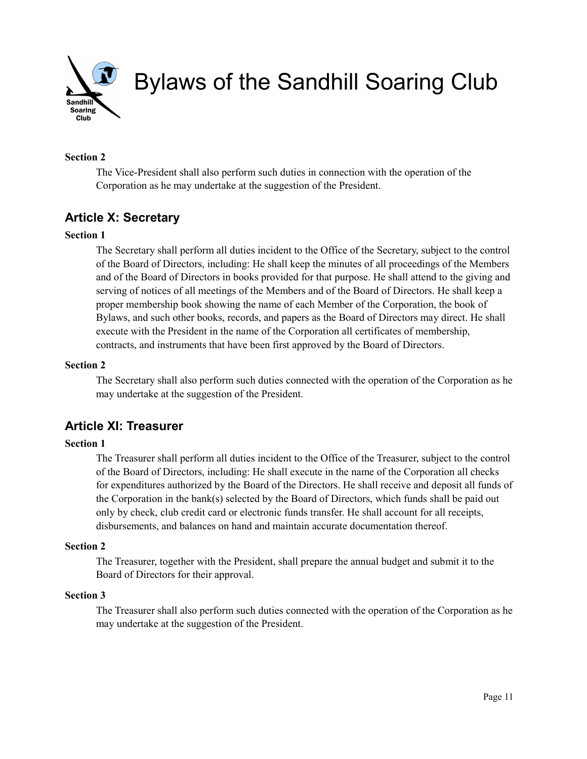

## **Section 2**

The Vice-President shall also perform such duties in connection with the operation of the Corporation as he may undertake at the suggestion of the President.

# **Article X: Secretary**

## **Section 1**

The Secretary shall perform all duties incident to the Office of the Secretary, subject to the control of the Board of Directors, including: He shall keep the minutes of all proceedings of the Members and of the Board of Directors in books provided for that purpose. He shall attend to the giving and serving of notices of all meetings of the Members and of the Board of Directors. He shall keep a proper membership book showing the name of each Member of the Corporation, the book of Bylaws, and such other books, records, and papers as the Board of Directors may direct. He shall execute with the President in the name of the Corporation all certificates of membership, contracts, and instruments that have been first approved by the Board of Directors.

#### **Section 2**

The Secretary shall also perform such duties connected with the operation of the Corporation as he may undertake at the suggestion of the President.

# **Article XI: Treasurer**

### **Section 1**

The Treasurer shall perform all duties incident to the Office of the Treasurer, subject to the control of the Board of Directors, including: He shall execute in the name of the Corporation all checks for expenditures authorized by the Board of the Directors. He shall receive and deposit all funds of the Corporation in the bank(s) selected by the Board of Directors, which funds shall be paid out only by check, club credit card or electronic funds transfer. He shall account for all receipts, disbursements, and balances on hand and maintain accurate documentation thereof.

### **Section 2**

The Treasurer, together with the President, shall prepare the annual budget and submit it to the Board of Directors for their approval.

### **Section 3**

The Treasurer shall also perform such duties connected with the operation of the Corporation as he may undertake at the suggestion of the President.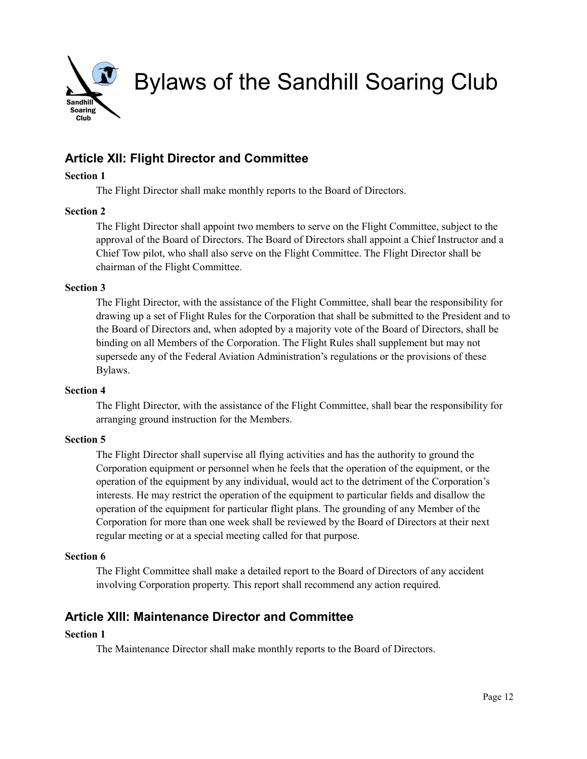

# **Article XII: Flight Director and Committee**

### **Section 1**

The Flight Director shall make monthly reports to the Board of Directors.

## **Section 2**

The Flight Director shall appoint two members to serve on the Flight Committee, subject to the approval of the Board of Directors. The Board of Directors shall appoint a Chief Instructor and a Chief Tow pilot, who shall also serve on the Flight Committee. The Flight Director shall be chairman of the Flight Committee.

### **Section 3**

The Flight Director, with the assistance of the Flight Committee, shall bear the responsibility for drawing up a set of Flight Rules for the Corporation that shall be submitted to the President and to the Board of Directors and, when adopted by a majority vote of the Board of Directors, shall be binding on all Members of the Corporation. The Flight Rules shall supplement but may not supersede any of the Federal Aviation Administration's regulations or the provisions of these Bylaws.

### **Section 4**

The Flight Director, with the assistance of the Flight Committee, shall bear the responsibility for arranging ground instruction for the Members.

### **Section 5**

The Flight Director shall supervise all flying activities and has the authority to ground the Corporation equipment or personnel when he feels that the operation of the equipment, or the operation of the equipment by any individual, would act to the detriment of the Corporation's interests. He may restrict the operation of the equipment to particular fields and disallow the operation of the equipment for particular flight plans. The grounding of any Member of the Corporation for more than one week shall be reviewed by the Board of Directors at their next regular meeting or at a special meeting called for that purpose.

### **Section 6**

The Flight Committee shall make a detailed report to the Board of Directors of any accident involving Corporation property. This report shall recommend any action required.

# **Article XIII: Maintenance Director and Committee**

## **Section 1**

The Maintenance Director shall make monthly reports to the Board of Directors.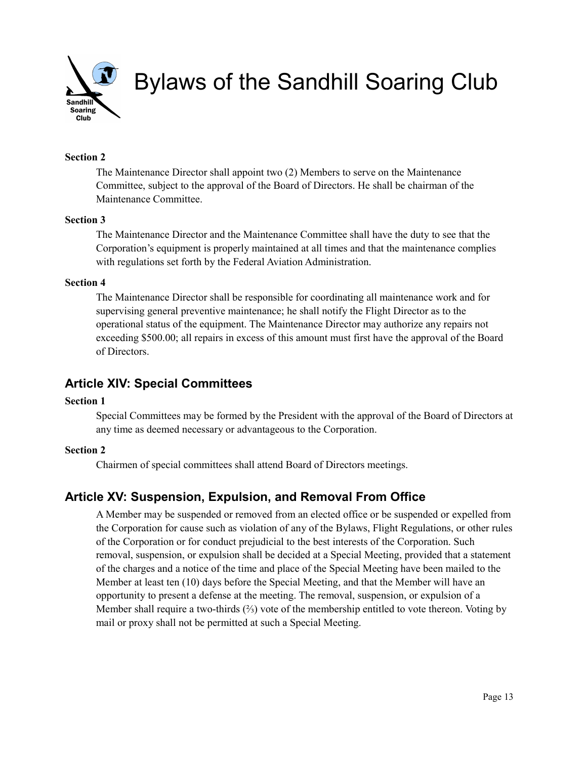

## **Section 2**

The Maintenance Director shall appoint two (2) Members to serve on the Maintenance Committee, subject to the approval of the Board of Directors. He shall be chairman of the Maintenance Committee.

### **Section 3**

The Maintenance Director and the Maintenance Committee shall have the duty to see that the Corporation's equipment is properly maintained at all times and that the maintenance complies with regulations set forth by the Federal Aviation Administration.

#### **Section 4**

The Maintenance Director shall be responsible for coordinating all maintenance work and for supervising general preventive maintenance; he shall notify the Flight Director as to the operational status of the equipment. The Maintenance Director may authorize any repairs not exceeding \$500.00; all repairs in excess of this amount must first have the approval of the Board of Directors.

## **Article XIV: Special Committees**

#### **Section 1**

Special Committees may be formed by the President with the approval of the Board of Directors at any time as deemed necessary or advantageous to the Corporation.

## **Section 2**

Chairmen of special committees shall attend Board of Directors meetings.

# **Article XV: Suspension, Expulsion, and Removal From Office**

A Member may be suspended or removed from an elected office or be suspended or expelled from the Corporation for cause such as violation of any of the Bylaws, Flight Regulations, or other rules of the Corporation or for conduct prejudicial to the best interests of the Corporation. Such removal, suspension, or expulsion shall be decided at a Special Meeting, provided that a statement of the charges and a notice of the time and place of the Special Meeting have been mailed to the Member at least ten (10) days before the Special Meeting, and that the Member will have an opportunity to present a defense at the meeting. The removal, suspension, or expulsion of a Member shall require a two-thirds (⅔) vote of the membership entitled to vote thereon. Voting by mail or proxy shall not be permitted at such a Special Meeting.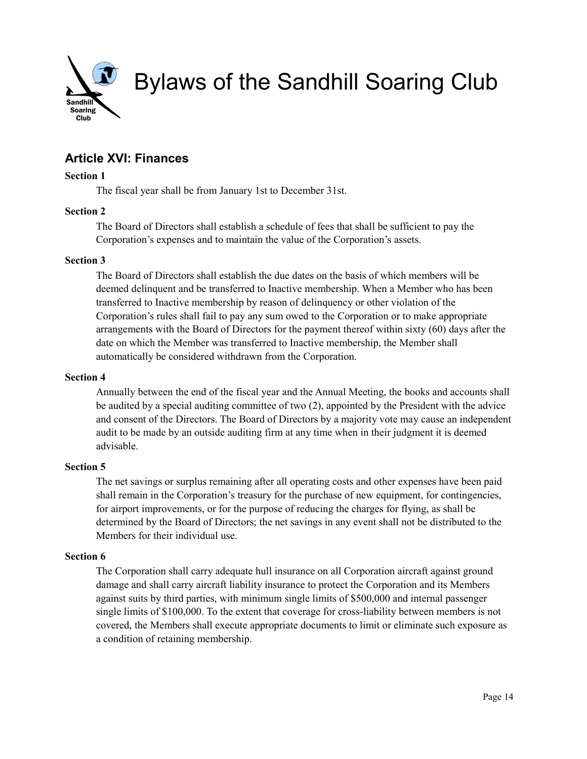

# **Article XVI: Finances**

### **Section 1**

The fiscal year shall be from January 1st to December 31st.

### **Section 2**

The Board of Directors shall establish a schedule of fees that shall be sufficient to pay the Corporation's expenses and to maintain the value of the Corporation's assets.

### **Section 3**

The Board of Directors shall establish the due dates on the basis of which members will be deemed delinquent and be transferred to Inactive membership. When a Member who has been transferred to Inactive membership by reason of delinquency or other violation of the Corporation's rules shall fail to pay any sum owed to the Corporation or to make appropriate arrangements with the Board of Directors for the payment thereof within sixty (60) days after the date on which the Member was transferred to Inactive membership, the Member shall automatically be considered withdrawn from the Corporation.

#### **Section 4**

Annually between the end of the fiscal year and the Annual Meeting, the books and accounts shall be audited by a special auditing committee of two (2), appointed by the President with the advice and consent of the Directors. The Board of Directors by a majority vote may cause an independent audit to be made by an outside auditing firm at any time when in their judgment it is deemed advisable.

### **Section 5**

The net savings or surplus remaining after all operating costs and other expenses have been paid shall remain in the Corporation's treasury for the purchase of new equipment, for contingencies, for airport improvements, or for the purpose of reducing the charges for flying, as shall be determined by the Board of Directors; the net savings in any event shall not be distributed to the Members for their individual use.

### **Section 6**

The Corporation shall carry adequate hull insurance on all Corporation aircraft against ground damage and shall carry aircraft liability insurance to protect the Corporation and its Members against suits by third parties, with minimum single limits of \$500,000 and internal passenger single limits of \$100,000. To the extent that coverage for cross-liability between members is not covered, the Members shall execute appropriate documents to limit or eliminate such exposure as a condition of retaining membership.